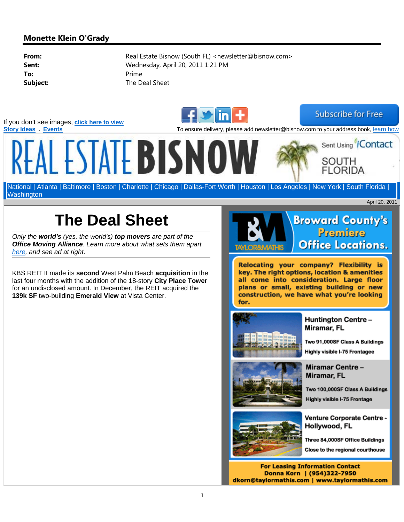**Subscribe for Free** 

If you don't see images, **click here to view** Story Ideas Events **Exercise 2008** To ensure delivery, please add newsletter@bisnow.com to your address book, learn how





National | Atlanta | Baltimore | Boston | Charlotte | Chicago | Dallas-Fort Worth | Houston | Los Angeles | New York | South Florida | Washington

**The Deal Sheet** 

**FAI ESTATE BISNO** 

*Only the world's (yes, the world's) top movers are part of the Office Moving Alliance. Learn more about what sets them apart here, and see ad at right.*

KBS REIT II made its **second** West Palm Beach **acquisition** in the last four months with the addition of the 18-story **City Place Tower** for an undisclosed amount. In December, the REIT acquired the **139k SF** two-building **Emerald View** at Vista Center.



**Broward County's** Premiere **Office Locations.** 

April 20, 2011

**Relocating your company? Flexibility is** key. The right options, location & amenities all come into consideration. Large floor plans or small, existing building or new construction, we have what you're looking for.



**Huntington Centre-**Miramar, FL

Two 91,000SF Class A Buildings Highly visible I-75 Frontagee



Miramar Centre-Miramar, FL

Two 100,000SF Class A Buildings Highly visible I-75 Frontage



Venture Corporate Centre -Hollywood, FL

Three 84,000SF Office Buildings Close to the regional courthouse

**For Leasing Information Contact** Donna Korn | (954)322-7950 dkorn@taylormathis.com | www.taylormathis.com